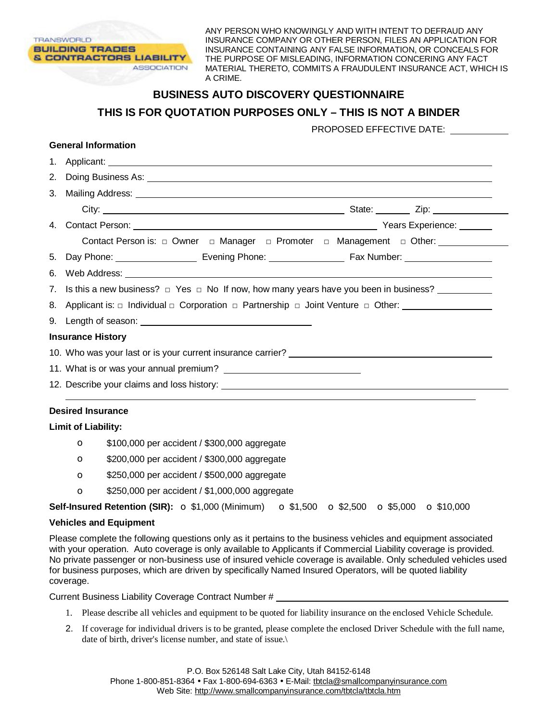ANY PERSON WHO KNOWINGLY AND WITH INTENT TO DEFRAUD ANY INSURANCE COMPANY OR OTHER PERSON, FILES AN APPLICATION FOR INSURANCE CONTAINING ANY FALSE INFORMATION, OR CONCEALS FOR THE PURPOSE OF MISLEADING, INFORMATION CONCERING ANY FACT MATERIAL THERETO, COMMITS A FRAUDULENT INSURANCE ACT, WHICH IS A CRIME.

## **BUSINESS AUTO DISCOVERY QUESTIONNAIRE THIS IS FOR QUOTATION PURPOSES ONLY – THIS IS NOT A BINDER**  PROPOSED EFFECTIVE DATE: **General Information** 1. Applicant: 2. Doing Business As: 3. Mailing Address: City: State: Zip: 4. Contact Person: Years Experience: Contact Person is: □ Owner □ Manager □ Promoter □ Management □ Other: 5. Day Phone: Evening Phone: Fax Number: 6. Web Address: 7. Is this a new business?  $\Box$  Yes  $\Box$  No If now, how many years have you been in business? 8. Applicant is: □ Individual □ Corporation □ Partnership □ Joint Venture □ Other: 9. Length of season: **Insurance History**  10. Who was your last or is your current insurance carrier? 11. What is or was your annual premium? 12. Describe your claims and loss history: **Desired Insurance Limit of Liability:**  o \$100,000 per accident / \$300,000 aggregate

- o \$200,000 per accident / \$300,000 aggregate
- o \$250,000 per accident / \$500,000 aggregate
- o \$250,000 per accident / \$1,000,000 aggregate

**Self-Insured Retention (SIR):**  $\circ$  \$1,000 (Minimum)  $\circ$  \$1,500  $\circ$  \$2,500  $\circ$  \$5,000  $\circ$  \$10,000

## **Vehicles and Equipment**

**TRANSWORLD** 

**BUILDING TRADES** 

**& CONTRACTORS LIABILITY** 

**ASSOCIATION** 

Please complete the following questions only as it pertains to the business vehicles and equipment associated with your operation. Auto coverage is only available to Applicants if Commercial Liability coverage is provided. No private passenger or non-business use of insured vehicle coverage is available. Only scheduled vehicles used for business purposes, which are driven by specifically Named Insured Operators, will be quoted liability coverage.

Current Business Liability Coverage Contract Number #

- 1. Please describe all vehicles and equipment to be quoted for liability insurance on the enclosed Vehicle Schedule.
- 2. If coverage for individual drivers is to be granted, please complete the enclosed Driver Schedule with the full name, date of birth, driver's license number, and state of issue.\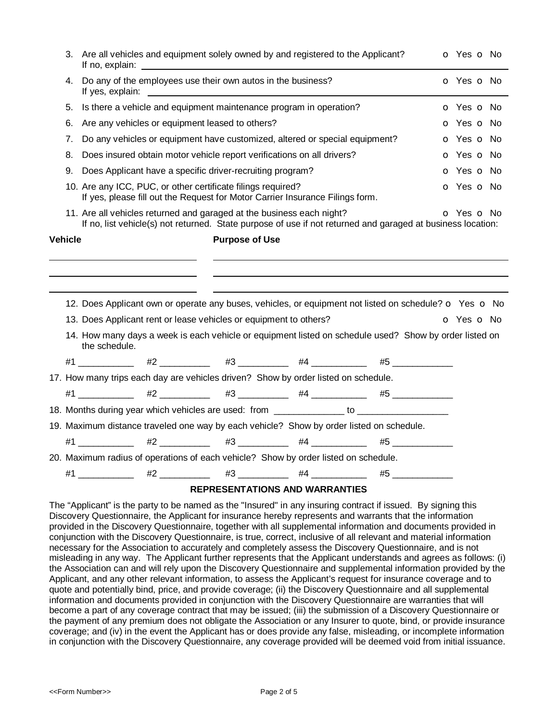| 3. | Are all vehicles and equipment solely owned by and registered to the Applicant?<br>If no, explain:                                                                                                                                                                                            | o Yes o No                                                                          |                                       |                                                                                                                    |                          |  |  |  |  |
|----|-----------------------------------------------------------------------------------------------------------------------------------------------------------------------------------------------------------------------------------------------------------------------------------------------|-------------------------------------------------------------------------------------|---------------------------------------|--------------------------------------------------------------------------------------------------------------------|--------------------------|--|--|--|--|
| 4. | Do any of the employees use their own autos in the business?<br>If yes, explain: The state of the state of the state of the state of the state of the state of the state of the state of the state of the state of the state of the state of the state of the state of the state of the state | O Yes O No                                                                          |                                       |                                                                                                                    |                          |  |  |  |  |
| 5. |                                                                                                                                                                                                                                                                                               | Is there a vehicle and equipment maintenance program in operation?                  |                                       |                                                                                                                    | <b>o</b> Yes <b>o</b> No |  |  |  |  |
| 6. |                                                                                                                                                                                                                                                                                               | Are any vehicles or equipment leased to others?                                     |                                       |                                                                                                                    | o Yes o No               |  |  |  |  |
| 7. | Do any vehicles or equipment have customized, altered or special equipment?                                                                                                                                                                                                                   | <b>o</b> Yes <b>o</b> No                                                            |                                       |                                                                                                                    |                          |  |  |  |  |
| 8. | Does insured obtain motor vehicle report verifications on all drivers?                                                                                                                                                                                                                        | o Yes o No                                                                          |                                       |                                                                                                                    |                          |  |  |  |  |
| 9. | Does Applicant have a specific driver-recruiting program?                                                                                                                                                                                                                                     | <b>o</b> Yes <b>o</b> No                                                            |                                       |                                                                                                                    |                          |  |  |  |  |
|    | 10. Are any ICC, PUC, or other certificate filings required?<br>If yes, please fill out the Request for Motor Carrier Insurance Filings form.                                                                                                                                                 | o Yes o No                                                                          |                                       |                                                                                                                    |                          |  |  |  |  |
|    |                                                                                                                                                                                                                                                                                               | 11. Are all vehicles returned and garaged at the business each night?               |                                       | If no, list vehicle(s) not returned. State purpose of use if not returned and garaged at business location:        | O Yes O No               |  |  |  |  |
|    | <b>Vehicle</b><br><b>Purpose of Use</b>                                                                                                                                                                                                                                                       |                                                                                     |                                       |                                                                                                                    |                          |  |  |  |  |
|    |                                                                                                                                                                                                                                                                                               |                                                                                     |                                       | 12. Does Applicant own or operate any buses, vehicles, or equipment not listed on schedule? $\circ$ Yes $\circ$ No |                          |  |  |  |  |
|    | 13. Does Applicant rent or lease vehicles or equipment to others?                                                                                                                                                                                                                             | o Yes o No                                                                          |                                       |                                                                                                                    |                          |  |  |  |  |
|    | the schedule.                                                                                                                                                                                                                                                                                 |                                                                                     |                                       | 14. How many days a week is each vehicle or equipment listed on schedule used? Show by order listed on             |                          |  |  |  |  |
|    |                                                                                                                                                                                                                                                                                               |                                                                                     |                                       | $#1$ 41 4 $#2$ 42 $#3$ 43 44 4 5                                                                                   |                          |  |  |  |  |
|    | 17. How many trips each day are vehicles driven? Show by order listed on schedule.                                                                                                                                                                                                            |                                                                                     |                                       |                                                                                                                    |                          |  |  |  |  |
|    |                                                                                                                                                                                                                                                                                               |                                                                                     |                                       | #1 ____________  #2 ___________  #3 ___________  #4 ____________  #5 ____________                                  |                          |  |  |  |  |
|    |                                                                                                                                                                                                                                                                                               |                                                                                     |                                       | 18. Months during year which vehicles are used: from ____________ to ____________                                  |                          |  |  |  |  |
|    |                                                                                                                                                                                                                                                                                               |                                                                                     |                                       | 19. Maximum distance traveled one way by each vehicle? Show by order listed on schedule.                           |                          |  |  |  |  |
|    |                                                                                                                                                                                                                                                                                               |                                                                                     |                                       | $#1$ _____________ #2 ____________ #3 ___________ #4 ____________ #5 ____________                                  |                          |  |  |  |  |
|    |                                                                                                                                                                                                                                                                                               | 20. Maximum radius of operations of each vehicle? Show by order listed on schedule. |                                       |                                                                                                                    |                          |  |  |  |  |
|    | #1                                                                                                                                                                                                                                                                                            | $\#2$ _____________  #3 _____________  #4 _______________                           |                                       | $\#5$                                                                                                              |                          |  |  |  |  |
|    |                                                                                                                                                                                                                                                                                               |                                                                                     | <b>REPRESENTATIONS AND WARRANTIES</b> |                                                                                                                    |                          |  |  |  |  |

The "Applicant" is the party to be named as the "Insured" in any insuring contract if issued. By signing this Discovery Questionnaire, the Applicant for insurance hereby represents and warrants that the information provided in the Discovery Questionnaire, together with all supplemental information and documents provided in conjunction with the Discovery Questionnaire, is true, correct, inclusive of all relevant and material information necessary for the Association to accurately and completely assess the Discovery Questionnaire, and is not misleading in any way. The Applicant further represents that the Applicant understands and agrees as follows: (i) the Association can and will rely upon the Discovery Questionnaire and supplemental information provided by the Applicant, and any other relevant information, to assess the Applicant's request for insurance coverage and to quote and potentially bind, price, and provide coverage; (ii) the Discovery Questionnaire and all supplemental information and documents provided in conjunction with the Discovery Questionnaire are warranties that will become a part of any coverage contract that may be issued; (iii) the submission of a Discovery Questionnaire or the payment of any premium does not obligate the Association or any Insurer to quote, bind, or provide insurance coverage; and (iv) in the event the Applicant has or does provide any false, misleading, or incomplete information in conjunction with the Discovery Questionnaire, any coverage provided will be deemed void from initial issuance.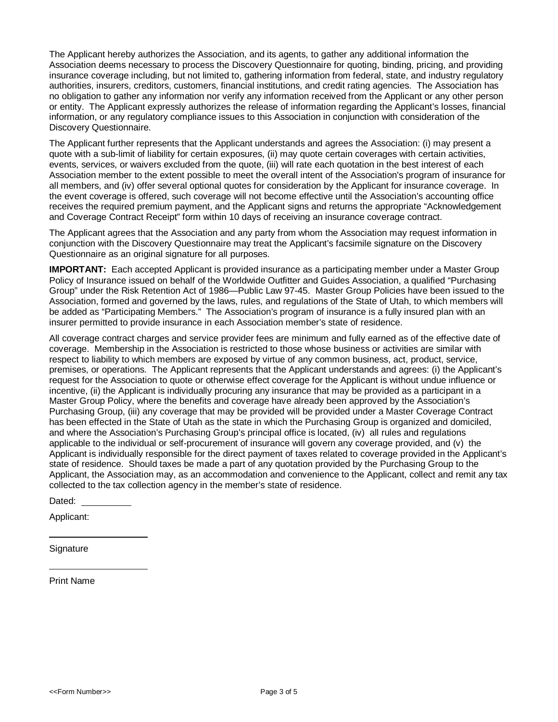The Applicant hereby authorizes the Association, and its agents, to gather any additional information the Association deems necessary to process the Discovery Questionnaire for quoting, binding, pricing, and providing insurance coverage including, but not limited to, gathering information from federal, state, and industry regulatory authorities, insurers, creditors, customers, financial institutions, and credit rating agencies. The Association has no obligation to gather any information nor verify any information received from the Applicant or any other person or entity. The Applicant expressly authorizes the release of information regarding the Applicant's losses, financial information, or any regulatory compliance issues to this Association in conjunction with consideration of the Discovery Questionnaire.

The Applicant further represents that the Applicant understands and agrees the Association: (i) may present a quote with a sub-limit of liability for certain exposures, (ii) may quote certain coverages with certain activities, events, services, or waivers excluded from the quote, (iii) will rate each quotation in the best interest of each Association member to the extent possible to meet the overall intent of the Association's program of insurance for all members, and (iv) offer several optional quotes for consideration by the Applicant for insurance coverage. In the event coverage is offered, such coverage will not become effective until the Association's accounting office receives the required premium payment, and the Applicant signs and returns the appropriate "Acknowledgement and Coverage Contract Receipt" form within 10 days of receiving an insurance coverage contract.

The Applicant agrees that the Association and any party from whom the Association may request information in conjunction with the Discovery Questionnaire may treat the Applicant's facsimile signature on the Discovery Questionnaire as an original signature for all purposes.

**IMPORTANT:** Each accepted Applicant is provided insurance as a participating member under a Master Group Policy of Insurance issued on behalf of the Worldwide Outfitter and Guides Association, a qualified "Purchasing Group" under the Risk Retention Act of 1986—Public Law 97-45. Master Group Policies have been issued to the Association, formed and governed by the laws, rules, and regulations of the State of Utah, to which members will be added as "Participating Members." The Association's program of insurance is a fully insured plan with an insurer permitted to provide insurance in each Association member's state of residence.

All coverage contract charges and service provider fees are minimum and fully earned as of the effective date of coverage. Membership in the Association is restricted to those whose business or activities are similar with respect to liability to which members are exposed by virtue of any common business, act, product, service, premises, or operations. The Applicant represents that the Applicant understands and agrees: (i) the Applicant's request for the Association to quote or otherwise effect coverage for the Applicant is without undue influence or incentive, (ii) the Applicant is individually procuring any insurance that may be provided as a participant in a Master Group Policy, where the benefits and coverage have already been approved by the Association's Purchasing Group, (iii) any coverage that may be provided will be provided under a Master Coverage Contract has been effected in the State of Utah as the state in which the Purchasing Group is organized and domiciled, and where the Association's Purchasing Group's principal office is located, (iv) all rules and regulations applicable to the individual or self-procurement of insurance will govern any coverage provided, and (v) the Applicant is individually responsible for the direct payment of taxes related to coverage provided in the Applicant's state of residence. Should taxes be made a part of any quotation provided by the Purchasing Group to the Applicant, the Association may, as an accommodation and convenience to the Applicant, collect and remit any tax collected to the tax collection agency in the member's state of residence.

Dated:

Applicant:

**Signature** 

Print Name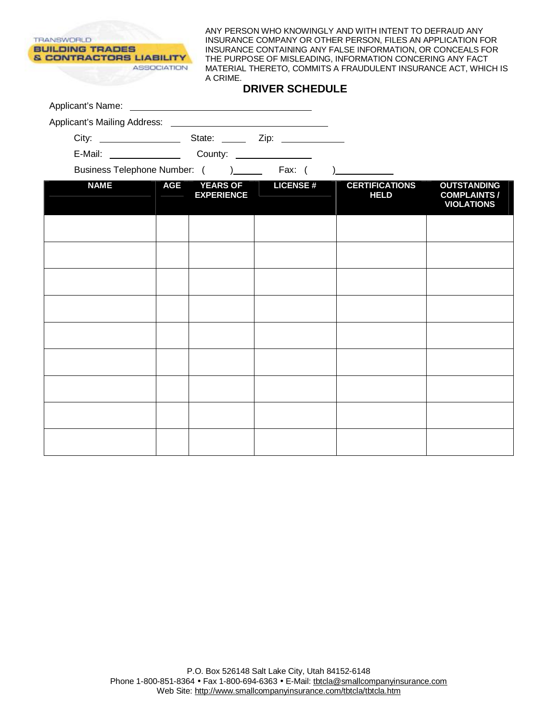**TRANSWORLD BUILDING TRADES & CONTRACTORS LIABILITY ASSOCIATION** 

ANY PERSON WHO KNOWINGLY AND WITH INTENT TO DEFRAUD ANY INSURANCE COMPANY OR OTHER PERSON, FILES AN APPLICATION FOR INSURANCE CONTAINING ANY FALSE INFORMATION, OR CONCEALS FOR THE PURPOSE OF MISLEADING, INFORMATION CONCERING ANY FACT MATERIAL THERETO, COMMITS A FRAUDULENT INSURANCE ACT, WHICH IS A CRIME.

|             |            | Business Telephone Number: () _______ Fax: ( |                           |                                      |                                                                |  |  |
|-------------|------------|----------------------------------------------|---------------------------|--------------------------------------|----------------------------------------------------------------|--|--|
| <b>NAME</b> | <b>AGE</b> | <b>EXPERIENCE</b>                            | <b>YEARS OF LICENSE #</b> | <b>CERTIFICATIONS</b><br><b>HELD</b> | <b>OUTSTANDING</b><br><b>COMPLAINTS /</b><br><b>VIOLATIONS</b> |  |  |
|             |            |                                              |                           |                                      |                                                                |  |  |
|             |            |                                              |                           |                                      |                                                                |  |  |
|             |            |                                              |                           |                                      |                                                                |  |  |
|             |            |                                              |                           |                                      |                                                                |  |  |
|             |            |                                              |                           |                                      |                                                                |  |  |
|             |            |                                              |                           |                                      |                                                                |  |  |
|             |            |                                              |                           |                                      |                                                                |  |  |
|             |            |                                              |                           |                                      |                                                                |  |  |
|             |            |                                              |                           |                                      |                                                                |  |  |